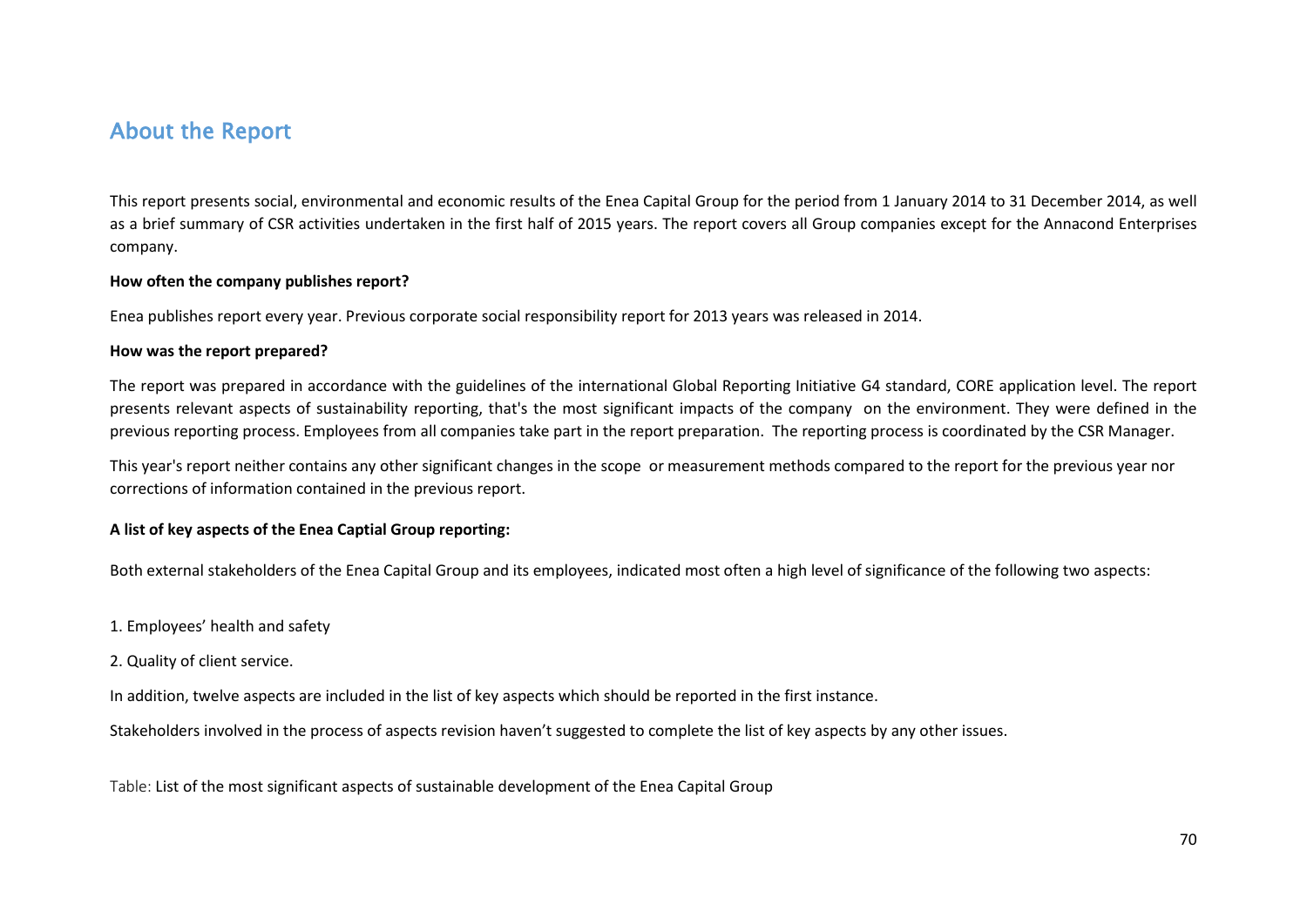# About the Report

This report presents social, environmental and economic results of the Enea Capital Group for the period from 1 January 2014 to 31 December 2014, as well as a brief summary of CSR activities undertaken in the first half of 2015 years. The report covers all Group companies except for the Annacond Enterprises company.

### **How often the company publishes report?**

Enea publishes report every year. Previous corporate social responsibility report for 2013 years was released in 2014.

#### **How was the report prepared?**

The report was prepared in accordance with the guidelines of the international Global Reporting Initiative G4 standard, CORE application level. The report presents relevant aspects of sustainability reporting, that's the most significant impacts of the company on the environment. They were defined in the previous reporting process. Employees from all companies take part in the report preparation. The reporting process is coordinated by the CSR Manager.

This year's report neither contains any other significant changes in the scope or measurement methods compared to the report for the previous year nor corrections of information contained in the previous report.

## **A list of key aspects of the Enea Captial Group reporting:**

Both external stakeholders of the Enea Capital Group and its employees, indicated most often a high level of significance of the following two aspects:

- 1. Employees' health and safety
- 2. Quality of client service.

In addition, twelve aspects are included in the list of key aspects which should be reported in the first instance.

Stakeholders involved in the process of aspects revision haven't suggested to complete the list of key aspects by any other issues.

Table: List of the most significant aspects of sustainable development of the Enea Capital Group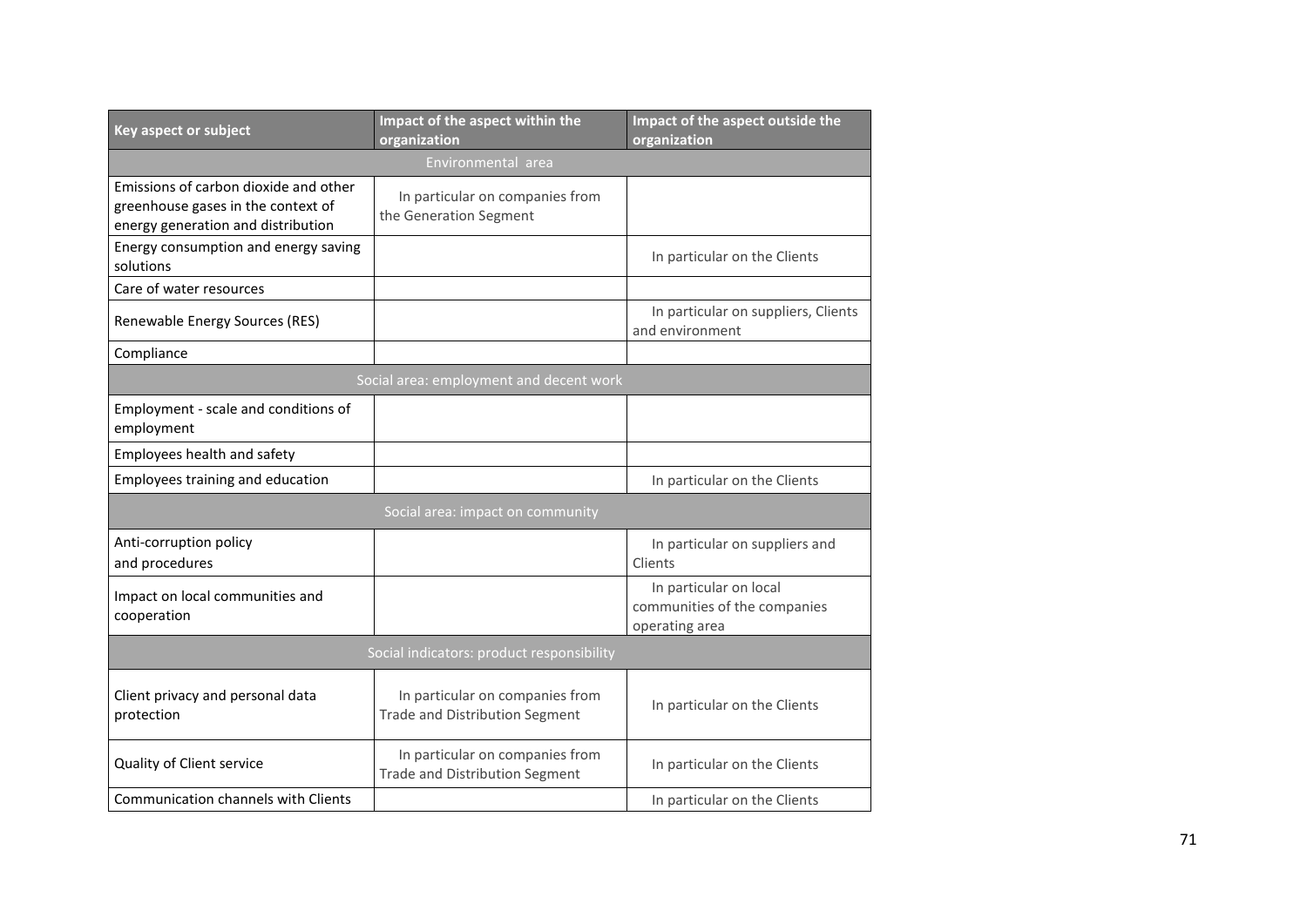| Key aspect or subject                                                                                             | Impact of the aspect within the                                          | Impact of the aspect outside the                                         |
|-------------------------------------------------------------------------------------------------------------------|--------------------------------------------------------------------------|--------------------------------------------------------------------------|
|                                                                                                                   | organization                                                             | organization                                                             |
| Environmental area                                                                                                |                                                                          |                                                                          |
| Emissions of carbon dioxide and other<br>greenhouse gases in the context of<br>energy generation and distribution | In particular on companies from<br>the Generation Segment                |                                                                          |
| Energy consumption and energy saving<br>solutions                                                                 |                                                                          | In particular on the Clients                                             |
| Care of water resources                                                                                           |                                                                          |                                                                          |
| Renewable Energy Sources (RES)                                                                                    |                                                                          | In particular on suppliers, Clients<br>and environment                   |
| Compliance                                                                                                        |                                                                          |                                                                          |
| Social area: employment and decent work                                                                           |                                                                          |                                                                          |
| Employment - scale and conditions of<br>employment                                                                |                                                                          |                                                                          |
| Employees health and safety                                                                                       |                                                                          |                                                                          |
| Employees training and education                                                                                  |                                                                          | In particular on the Clients                                             |
| Social area: impact on community                                                                                  |                                                                          |                                                                          |
| Anti-corruption policy<br>and procedures                                                                          |                                                                          | In particular on suppliers and<br>Clients                                |
| Impact on local communities and<br>cooperation                                                                    |                                                                          | In particular on local<br>communities of the companies<br>operating area |
| Social indicators: product responsibility                                                                         |                                                                          |                                                                          |
| Client privacy and personal data<br>protection                                                                    | In particular on companies from<br>Trade and Distribution Segment        | In particular on the Clients                                             |
| Quality of Client service                                                                                         | In particular on companies from<br><b>Trade and Distribution Segment</b> | In particular on the Clients                                             |
| Communication channels with Clients                                                                               |                                                                          | In particular on the Clients                                             |